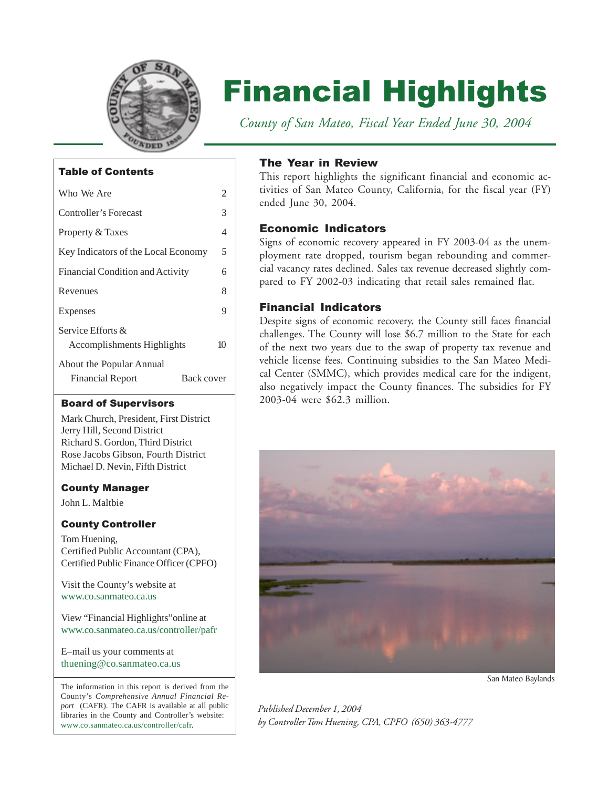

# Financial Highlights

 *County of San Mateo, Fiscal Year Ended June 30, 2004*

## Table of Contents

| Who We Are                                                        | 2 |  |  |  |  |
|-------------------------------------------------------------------|---|--|--|--|--|
| Controller's Forecast                                             | 3 |  |  |  |  |
| Property & Taxes                                                  | 4 |  |  |  |  |
| Key Indicators of the Local Economy                               | 5 |  |  |  |  |
| Financial Condition and Activity                                  | 6 |  |  |  |  |
| Revenues                                                          | 8 |  |  |  |  |
| Expenses                                                          | 9 |  |  |  |  |
| Service Efforts $\&$<br>Accomplishments Highlights                |   |  |  |  |  |
| About the Popular Annual<br>Back cover<br><b>Financial Report</b> |   |  |  |  |  |

#### Board of Supervisors

Mark Church, President, First District Jerry Hill, Second District Richard S. Gordon, Third District Rose Jacobs Gibson, Fourth District Michael D. Nevin, Fifth District

## County Manager

John L. Maltbie

## County Controller

Tom Huening, Certified Public Accountant (CPA), Certified Public Finance Officer (CPFO)

[Visit the County's website at](http://www.co.sanmateo.ca.us) www.co.sanmateo.ca.us

View "Financial Highlights"online at [www.co.sanmateo.ca.us/controller/pafr](http://www.co.sanmateo.ca.us/controller/pafr)

E–mail us your comments at [thuening@co.sanmateo.ca.us](mailto:thuening@co.sanmateo.ca.us)

The information in this report is derived from the The information in this report is derived from the County's *Comprehensive Annual Financial Report* (CAFR). The CAFR is available at all public libraries in the County and Controller's website: [www.co.sanmateo.ca.us/controller/cafr.](http://www.co.sanmateo.ca.us/controller/cafr)

## The Year in Review

This report highlights the significant financial and economic activities of San Mateo County, California, for the fiscal year (FY) ended June 30, 2004.

## Economic Indicators

Signs of economic recovery appeared in FY 2003-04 as the unemployment rate dropped, tourism began rebounding and commercial vacancy rates declined. Sales tax revenue decreased slightly compared to FY 2002-03 indicating that retail sales remained flat.

## Financial Indicators

Despite signs of economic recovery, the County still faces financial challenges. The County will lose \$6.7 million to the State for each of the next two years due to the swap of property tax revenue and vehicle license fees. Continuing subsidies to the San Mateo Medical Center (SMMC), which provides medical care for the indigent, also negatively impact the County finances. The subsidies for FY 2003-04 were \$62.3 million.



*Published December 1, 2004 by Controller Tom Huening, CPA, CPFO (650) 363-4777*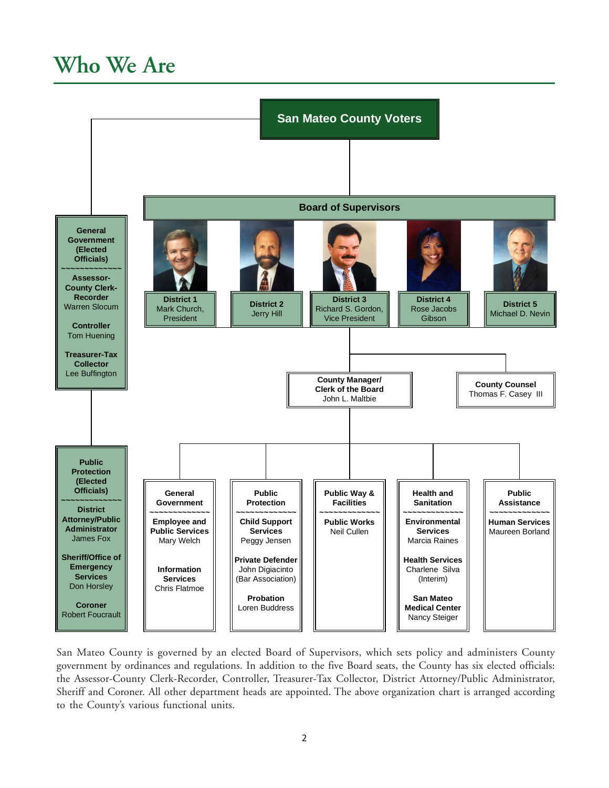## <span id="page-1-0"></span>**Who We Are**



San Mateo County is governed by an elected Board of Supervisors, which sets policy and administers County government by ordinances and regulations. In addition to the five Board seats, the County has six elected officials: the Assessor-County Clerk-Recorder, Controller, Treasurer-Tax Collector, District Attorney/Public Administrator, Sheriff and Coroner. All other department heads are appointed. The above organization chart is arranged according to the County's various functional units.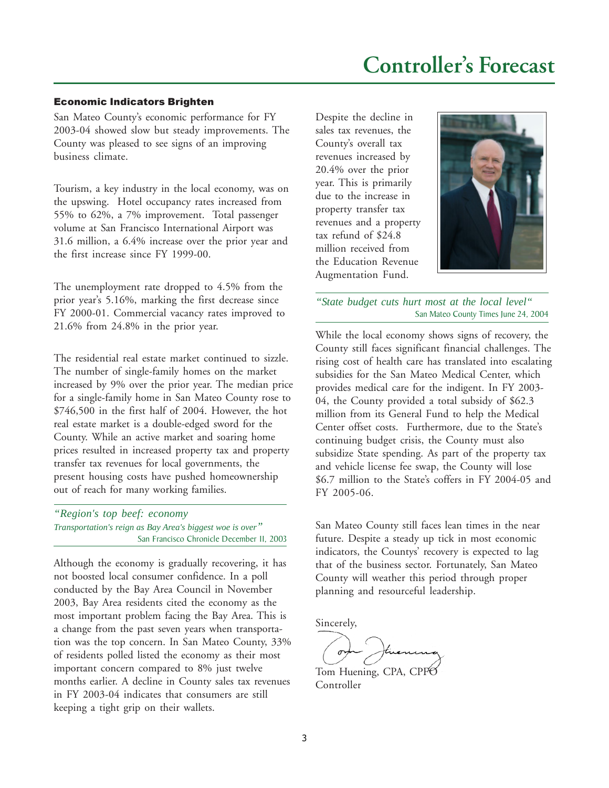#### <span id="page-2-0"></span>Economic Indicators Brighten

San Mateo County's economic performance for FY 2003-04 showed slow but steady improvements. The County was pleased to see signs of an improving business climate.

Tourism, a key industry in the local economy, was on the upswing. Hotel occupancy rates increased from 55% to 62%, a 7% improvement. Total passenger volume at San Francisco International Airport was 31.6 million, a 6.4% increase over the prior year and the first increase since FY 1999-00.

The unemployment rate dropped to 4.5% from the prior year's 5.16%, marking the first decrease since FY 2000-01. Commercial vacancy rates improved to 21.6% from 24.8% in the prior year.

The residential real estate market continued to sizzle. The number of single-family homes on the market increased by 9% over the prior year. The median price for a single-family home in San Mateo County rose to \$746,500 in the first half of 2004. However, the hot real estate market is a double-edged sword for the County. While an active market and soaring home prices resulted in increased property tax and property transfer tax revenues for local governments, the present housing costs have pushed homeownership out of reach for many working families.

*"Region's top beef: economy Transportation's reign as Bay Area's biggest woe is over"* San Francisco Chronicle December 11, 2003

Although the economy is gradually recovering, it has not boosted local consumer confidence. In a poll conducted by the Bay Area Council in November 2003, Bay Area residents cited the economy as the most important problem facing the Bay Area. This is a change from the past seven years when transportation was the top concern. In San Mateo County, 33% of residents polled listed the economy as their most important concern compared to 8% just twelve months earlier. A decline in County sales tax revenues in FY 2003-04 indicates that consumers are still keeping a tight grip on their wallets.

Despite the decline in sales tax revenues, the County's overall tax revenues increased by 20.4% over the prior year. This is primarily due to the increase in property transfer tax revenues and a property tax refund of \$24.8 million received from the Education Revenue Augmentation Fund.



*"State budget cuts hurt most at the local level"* San Mateo County Times June 24, 2004

While the local economy shows signs of recovery, the County still faces significant financial challenges. The rising cost of health care has translated into escalating subsidies for the San Mateo Medical Center, which provides medical care for the indigent. In FY 2003- 04, the County provided a total subsidy of \$62.3 million from its General Fund to help the Medical Center offset costs. Furthermore, due to the State's continuing budget crisis, the County must also subsidize State spending. As part of the property tax and vehicle license fee swap, the County will lose \$6.7 million to the State's coffers in FY 2004-05 and FY 2005-06.

San Mateo County still faces lean times in the near future. Despite a steady up tick in most economic indicators, the Countys' recovery is expected to lag that of the business sector. Fortunately, San Mateo County will weather this period through proper planning and resourceful leadership.

Sincerely,

Tom Huening, CPA, CPFC Controller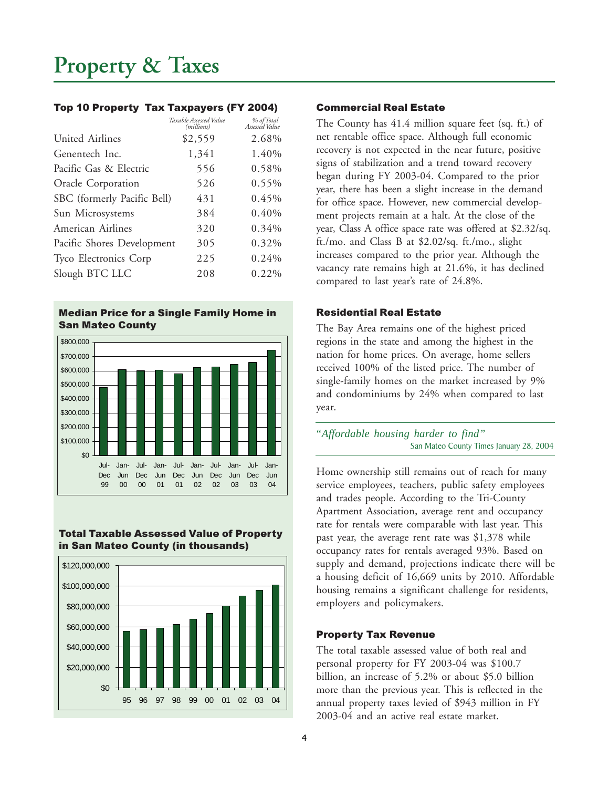#### <span id="page-3-0"></span>Top 10 Property Tax Taxpayers (FY 2004)

|                             | Taxable Assessed Value<br>(millions) | % of Total<br>Assessed Value |
|-----------------------------|--------------------------------------|------------------------------|
| United Airlines             | \$2,559                              | 2.68%                        |
| Genentech Inc.              | 1,341                                | 1.40%                        |
| Pacific Gas & Electric      | 556                                  | 0.58%                        |
| Oracle Corporation          | 526                                  | 0.55%                        |
| SBC (formerly Pacific Bell) | 431                                  | 0.45%                        |
| Sun Microsystems            | 384                                  | 0.40%                        |
| American Airlines           | 320                                  | 0.34%                        |
| Pacific Shores Development  | 305                                  | 0.32%                        |
| Tyco Electronics Corp       | 225                                  | 0.24%                        |
| Slough BTC LLC              | 208                                  | 0.22%                        |

#### Median Price for a Single Family Home in San Mateo County



#### Total Taxable Assessed Value of Property in San Mateo County (in thousands)



#### Commercial Real Estate

The County has 41.4 million square feet (sq. ft.) of net rentable office space. Although full economic recovery is not expected in the near future, positive signs of stabilization and a trend toward recovery began during FY 2003-04. Compared to the prior year, there has been a slight increase in the demand for office space. However, new commercial development projects remain at a halt. At the close of the year, Class A office space rate was offered at \$2.32/sq. ft./mo. and Class B at \$2.02/sq. ft./mo., slight increases compared to the prior year. Although the vacancy rate remains high at 21.6%, it has declined compared to last year's rate of 24.8%.

#### Residential Real Estate

The Bay Area remains one of the highest priced regions in the state and among the highest in the nation for home prices. On average, home sellers received 100% of the listed price. The number of single-family homes on the market increased by 9% and condominiums by 24% when compared to last year.

*"Affordable housing harder to find"* San Mateo County Times January 28, 2004

Home ownership still remains out of reach for many service employees, teachers, public safety employees and trades people. According to the Tri-County Apartment Association, average rent and occupancy rate for rentals were comparable with last year. This past year, the average rent rate was \$1,378 while occupancy rates for rentals averaged 93%. Based on supply and demand, projections indicate there will be a housing deficit of 16,669 units by 2010. Affordable housing remains a significant challenge for residents, employers and policymakers.

#### Property Tax Revenue

The total taxable assessed value of both real and personal property for FY 2003-04 was \$100.7 billion, an increase of 5.2% or about \$5.0 billion more than the previous year. This is reflected in the annual property taxes levied of \$943 million in FY 2003-04 and an active real estate market.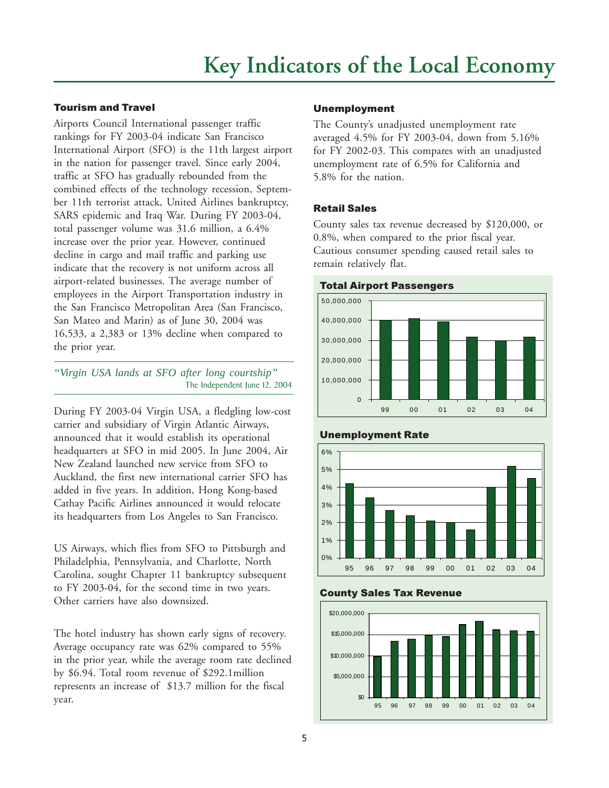### <span id="page-4-0"></span>Tourism and Travel

Airports Council International passenger traffic rankings for FY 2003-04 indicate San Francisco International Airport (SFO) is the 11th largest airport in the nation for passenger travel. Since early 2004, traffic at SFO has gradually rebounded from the combined effects of the technology recession, September 11th terrorist attack, United Airlines bankruptcy, SARS epidemic and Iraq War. During FY 2003-04, total passenger volume was 31.6 million, a 6.4% increase over the prior year. However, continued decline in cargo and mail traffic and parking use indicate that the recovery is not uniform across all airport-related businesses. The average number of employees in the Airport Transportation industry in the San Francisco Metropolitan Area (San Francisco, San Mateo and Marin) as of June 30, 2004 was 16,533, a 2,383 or 13% decline when compared to the prior year.

*"Virgin USA lands at SFO after long courtship"* The Independent June 12, 2004

During FY 2003-04 Virgin USA, a fledgling low-cost carrier and subsidiary of Virgin Atlantic Airways, announced that it would establish its operational headquarters at SFO in mid 2005. In June 2004, Air New Zealand launched new service from SFO to Auckland, the first new international carrier SFO has added in five years. In addition, Hong Kong-based Cathay Pacific Airlines announced it would relocate its headquarters from Los Angeles to San Francisco.

US Airways, which flies from SFO to Pittsburgh and Philadelphia, Pennsylvania, and Charlotte, North Carolina, sought Chapter 11 bankruptcy subsequent to FY 2003-04, for the second time in two years. Other carriers have also downsized.

The hotel industry has shown early signs of recovery. Average occupancy rate was 62% compared to 55% in the prior year, while the average room rate declined by \$6.94. Total room revenue of \$292.1million represents an increase of \$13.7 million for the fiscal year.

#### Unemployment

The County's unadjusted unemployment rate averaged 4.5% for FY 2003-04, down from 5.16% for FY 2002-03. This compares with an unadjusted unemployment rate of 6.5% for California and 5.8% for the nation.

#### Retail Sales

County sales tax revenue decreased by \$120,000, or 0.8%, when compared to the prior fiscal year. Cautious consumer spending caused retail sales to remain relatively flat.







#### County Sales Tax Revenue

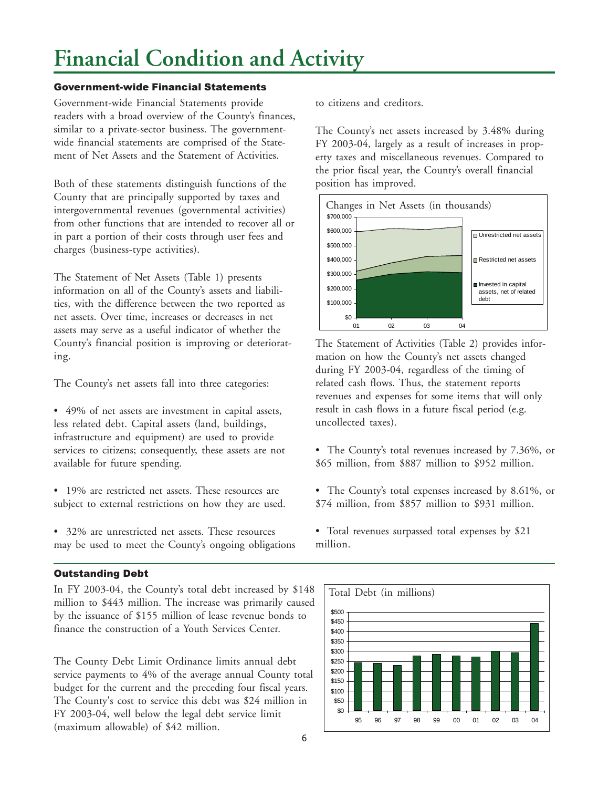## <span id="page-5-0"></span>**Financial Condition and Activity**

#### Government-wide Financial Statements

Government-wide Financial Statements provide readers with a broad overview of the County's finances, similar to a private-sector business. The governmentwide financial statements are comprised of the Statement of Net Assets and the Statement of Activities.

Both of these statements distinguish functions of the County that are principally supported by taxes and intergovernmental revenues (governmental activities) from other functions that are intended to recover all or in part a portion of their costs through user fees and charges (business-type activities).

The Statement of Net Assets (Table 1) presents information on all of the County's assets and liabilities, with the difference between the two reported as net assets. Over time, increases or decreases in net assets may serve as a useful indicator of whether the County's financial position is improving or deteriorating.

The County's net assets fall into three categories:

• 49% of net assets are investment in capital assets, less related debt. Capital assets (land, buildings, infrastructure and equipment) are used to provide services to citizens; consequently, these assets are not available for future spending.

- 19% are restricted net assets. These resources are subject to external restrictions on how they are used.
- 32% are unrestricted net assets. These resources may be used to meet the County's ongoing obligations

#### Outstanding Debt

In FY 2003-04, the County's total debt increased by \$148 million to \$443 million. The increase was primarily caused by the issuance of \$155 million of lease revenue bonds to finance the construction of a Youth Services Center.

The County Debt Limit Ordinance limits annual debt service payments to 4% of the average annual County total budget for the current and the preceding four fiscal years. The County's cost to service this debt was \$24 million in FY 2003-04, well below the legal debt service limit (maximum allowable) of \$42 million.

to citizens and creditors.

The County's net assets increased by 3.48% during FY 2003-04, largely as a result of increases in property taxes and miscellaneous revenues. Compared to the prior fiscal year, the County's overall financial position has improved.



The Statement of Activities (Table 2) provides information on how the County's net assets changed during FY 2003-04, regardless of the timing of related cash flows. Thus, the statement reports revenues and expenses for some items that will only result in cash flows in a future fiscal period (e.g. uncollected taxes).

- The County's total revenues increased by 7.36%, or \$65 million, from \$887 million to \$952 million.
- The County's total expenses increased by 8.61%, or \$74 million, from \$857 million to \$931 million.
- Total revenues surpassed total expenses by \$21 million.

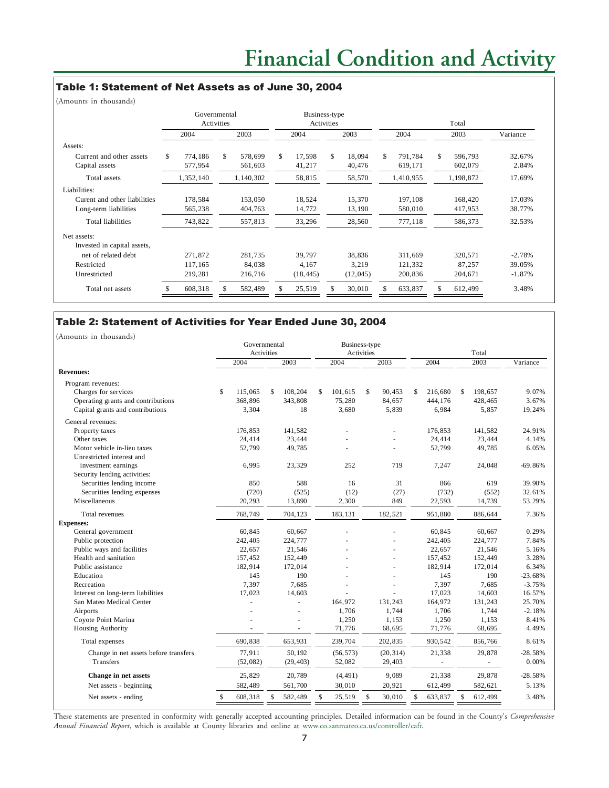#### Table 1: Statement of Net Assets as of June 30, 2004

(Amounts in thousands)

|                              | Governmental<br>Activities |           |      |           | Business-type<br><b>Activities</b> |           |      |          | Total |           |      |           |          |
|------------------------------|----------------------------|-----------|------|-----------|------------------------------------|-----------|------|----------|-------|-----------|------|-----------|----------|
|                              | 2004                       |           | 2003 |           | 2004                               |           | 2003 |          | 2004  |           | 2003 |           | Variance |
| Assets:                      |                            |           |      |           |                                    |           |      |          |       |           |      |           |          |
| Current and other assets     | \$.                        | 774,186   | \$   | 578,699   | \$.                                | 17,598    | S.   | 18.094   | S.    | 791.784   | \$.  | 596,793   | 32.67%   |
| Capital assets               |                            | 577,954   |      | 561,603   |                                    | 41,217    |      | 40,476   |       | 619,171   |      | 602,079   | 2.84%    |
| Total assets                 |                            | 1,352,140 |      | 1,140,302 |                                    | 58,815    |      | 58,570   |       | 1,410,955 |      | 1,198,872 | 17.69%   |
| Liabilities:                 |                            |           |      |           |                                    |           |      |          |       |           |      |           |          |
| Curent and other liabilities |                            | 178,584   |      | 153,050   |                                    | 18,524    |      | 15,370   |       | 197,108   |      | 168,420   | 17.03%   |
| Long-term liabilities        |                            | 565,238   |      | 404,763   |                                    | 14,772    |      | 13,190   |       | 580,010   |      | 417,953   | 38.77%   |
| <b>Total liabilities</b>     |                            | 743,822   |      | 557,813   |                                    | 33,296    |      | 28,560   |       | 777,118   |      | 586,373   | 32.53%   |
| Net assets:                  |                            |           |      |           |                                    |           |      |          |       |           |      |           |          |
| Invested in capital assets,  |                            |           |      |           |                                    |           |      |          |       |           |      |           |          |
| net of related debt          |                            | 271.872   |      | 281.735   |                                    | 39,797    |      | 38,836   |       | 311.669   |      | 320,571   | $-2.78%$ |
| Restricted                   |                            | 117,165   |      | 84,038    |                                    | 4,167     |      | 3,219    |       | 121,332   |      | 87,257    | 39.05%   |
| Unrestricted                 |                            | 219,281   |      | 216,716   |                                    | (18, 445) |      | (12,045) |       | 200,836   |      | 204,671   | $-1.87%$ |
| Total net assets             |                            | 608,318   |      | 582,489   |                                    | 25,519    |      | 30,010   |       | 633,837   | \$   | 612,499   | 3.48%    |

#### Table 2: Statement of Activities for Year Ended June 30, 2004

(Amounts in thousands) 2004 2003 2004 2003 2004 2003 Variance **Revenues:** Program revenues: Charges for services \$ 115,065 \$ 108,204 \$ 101,615 \$ 90,453 \$ 216,680 \$ 198,657 9.07% Operating grants and contributions 368,896 343,808 75,280 84,657 444,176 428,465 3.67%<br>Capital grants and contributions 3.304 18 3.680 5.839 6.984 5.857 19.24% Capital grants and contributions General revenues: Property taxes 24.91% 176,853 141,582 - 176,853 141,582 24.91% Other taxes 24,414 23,444 - 23,444 - 24,414 23,444 4.14% Motor vehicle in-lieu taxes 52,799 49,785 52,799 49,785 6.05% Unrestricted interest and investment earnings 6,995 23,329 252 719 7,247 24,048 -69.86% Security lending activities: Securities lending income 850 588 16 31 866 619 39.90% Securities lending expenses (720) (525) (12) (27) (732) (552) 32.61% Miscellaneous 20,293 13,890 2,300 849 22,593 14,739 53.29% Total revenues 768,749 704,123 183,131 182,521 951,880 886,644 7.36% **Expenses:** General government 60,845 60,667 60,667 60,667 60,667 60,845 60,667 0.29% Public protection 242,405 224,777 - 242,405 224,777 7.84% Public ways and facilities 22,657 21,546 22,657 21,546 5.16% Health and sanitation 157,452 157,452 152,449 - 157,452 152,449 3.28% Public assistance **182,914** 172,014 172,014 - 182,914 172,014 6.34% Education 145 190 - 145 190 - 145 190 - 23.68% Recreation 2.15% 7,397 7,685 - 7,397 7,685 -3.75% 14,603 16.57% 14,603 16.57% 14,603 16.57% 16.57% 16.57% 16.57% 16.57% 16.57% 16.57% 16.57% 16.57% 16.57% 16.57% 16.57% 16.57% 16.57% 16.57% 16.57% 16.57% 16.57% 16.57% 16.57% 16.57% 16.57% 16.57% 16.57% 16.57% 16.57% 16.57 San Mateo Medical Center - 164,972 154,972 131,243 164,972 131,243 164,972 131,243 164,972 131,243 164,972 151,243 164,972 164,972 151,243 164,972 151,243 164,972 151,243 164,972 164,972 164,972 164,972 164,972 164,972 164 Airports and the contract of the contract of the contract of the contract of the contract of the contract of the contract of the contract of the contract of the contract of the contract of the contract of the contract of t Coyote Point Marina <br>
Housing Authority<br>
Housing Authority<br>
Housing Authority<br>  $\begin{array}{ccccccccc}\n & - & - & 1,250 & 1,153 & 1,250 & 1,153 & 8.41\% \\
 & - & - & - & 71,776 & 68,695 & 71,776 & 68,695 & 4.49\% \\
\end{array}$ Housing Authority **1.776** 68,695 71,776 68,695 71,776 68,695 71,776 68,695 71,776 68,695 71,776 68,695 Total expenses 690,838 653,931 239,704 202,835 930,542 856,766 8.61% Change in net assets before transfers  $77,911$   $50,192$   $(56,573)$   $(20,314)$   $21,338$   $29,878$   $-28.58\%$ <br>Transfers  $(52,082)$   $(29,403)$   $52,082$   $29,403$   $0.00\%$ Transfers 6.00% (52,082) (29,403) 52,082 29,403 - 10.00% **Change in net assets** 25,829 20,789 (4,491) 9,089 21,338 29,878 -28,58% Net assets - beginning 582,489 561,700 30,010 20,921 612,499 582,621 5.13% Net assets - ending 608,318 \$ 608,318 \$ 582,489 \$ 625,519 \$ 30,010 \$ 633,837 \$ 612,499 \$ 3.48% Total Governmental Business-type Activities Activities

These statements are presented in conformity with generally accepted accounting principles. Detailed information can be found in the County's *Comprehensive Annual Financial Report*, which is available at County libraries and online at [www.co.sanmateo.ca.us/controller/cafr.](http://www.co.sanmateo.ca.us/controller/cafr)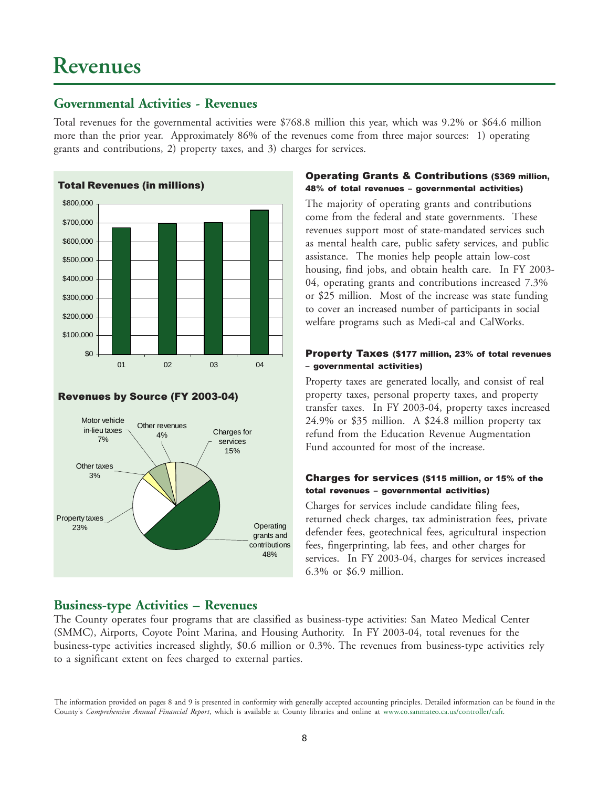## <span id="page-7-0"></span>**Revenues**

## **Governmental Activities - Revenues**

Total revenues for the governmental activities were \$768.8 million this year, which was 9.2% or \$64.6 million more than the prior year. Approximately 86% of the revenues come from three major sources: 1) operating grants and contributions, 2) property taxes, and 3) charges for services.



#### Revenues by Source (FY 2003-04)



## **Business-type Activities – Revenues**

#### Operating Grants & Contributions (\$369 million, 48% of total revenues – governmental activities)

The majority of operating grants and contributions come from the federal and state governments. These revenues support most of state-mandated services such as mental health care, public safety services, and public assistance. The monies help people attain low-cost housing, find jobs, and obtain health care. In FY 2003- 04, operating grants and contributions increased 7.3% or \$25 million. Most of the increase was state funding to cover an increased number of participants in social welfare programs such as Medi-cal and CalWorks.

#### Property Taxes (\$177 million, 23% of total revenues – governmental activities)

Property taxes are generated locally, and consist of real property taxes, personal property taxes, and property transfer taxes. In FY 2003-04, property taxes increased 24.9% or \$35 million. A \$24.8 million property tax refund from the Education Revenue Augmentation Fund accounted for most of the increase.

#### Charges for services (\$115 million, or 15% of the total revenues – governmental activities)

Charges for services include candidate filing fees, returned check charges, tax administration fees, private defender fees, geotechnical fees, agricultural inspection fees, fingerprinting, lab fees, and other charges for services. In FY 2003-04, charges for services increased 6.3% or \$6.9 million.

The County operates four programs that are classified as business-type activities: San Mateo Medical Center (SMMC), Airports, Coyote Point Marina, and Housing Authority. In FY 2003-04, total revenues for the business-type activities increased slightly, \$0.6 million or 0.3%. The revenues from business-type activities rely to a significant extent on fees charged to external parties.

The information provided on pages 8 and 9 is presented in conformity with generally accepted accounting principles. Detailed information can be found in the County's *Comprehensive Annual Financial Report*, which is available at County libraries and online at [www.co.sanmateo.ca.us/controller/cafr.](http://www.co.sanmateo.ca.us/controller/cafr)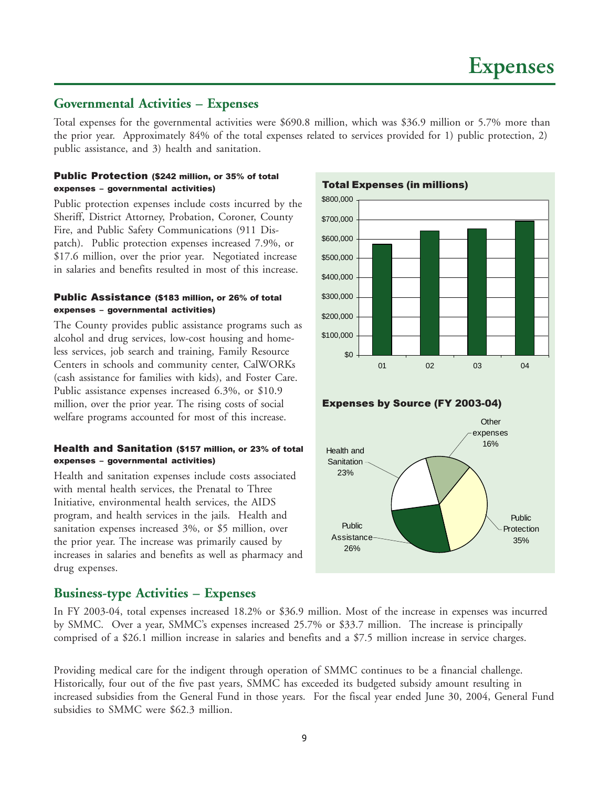### <span id="page-8-0"></span>**Governmental Activities – Expenses**

Total expenses for the governmental activities were \$690.8 million, which was \$36.9 million or 5.7% more than the prior year. Approximately 84% of the total expenses related to services provided for 1) public protection, 2) public assistance, and 3) health and sanitation.

#### Public Protection (\$242 million, or 35% of total expenses – governmental activities)

Public protection expenses include costs incurred by the Sheriff, District Attorney, Probation, Coroner, County Fire, and Public Safety Communications (911 Dispatch). Public protection expenses increased 7.9%, or \$17.6 million, over the prior year. Negotiated increase in salaries and benefits resulted in most of this increase.

#### Public Assistance (\$183 million, or 26% of total expenses – governmental activities)

The County provides public assistance programs such as alcohol and drug services, low-cost housing and homeless services, job search and training, Family Resource Centers in schools and community center, CalWORKs (cash assistance for families with kids), and Foster Care. Public assistance expenses increased 6.3%, or \$10.9 million, over the prior year. The rising costs of social welfare programs accounted for most of this increase.

#### Health and Sanitation (\$157 million, or 23% of total expenses – governmental activities)

Health and sanitation expenses include costs associated with mental health services, the Prenatal to Three Initiative, environmental health services, the AIDS program, and health services in the jails. Health and sanitation expenses increased 3%, or \$5 million, over the prior year. The increase was primarily caused by increases in salaries and benefits as well as pharmacy and drug expenses.

## \$800,000

Total Expenses (in millions)



Expenses by Source (FY 2003-04)



## **Business-type Activities – Expenses**

In FY 2003-04, total expenses increased 18.2% or \$36.9 million. Most of the increase in expenses was incurred by SMMC. Over a year, SMMC's expenses increased 25.7% or \$33.7 million. The increase is principally comprised of a \$26.1 million increase in salaries and benefits and a \$7.5 million increase in service charges.

Providing medical care for the indigent through operation of SMMC continues to be a financial challenge. Historically, four out of the five past years, SMMC has exceeded its budgeted subsidy amount resulting in increased subsidies from the General Fund in those years. For the fiscal year ended June 30, 2004, General Fund subsidies to SMMC were \$62.3 million.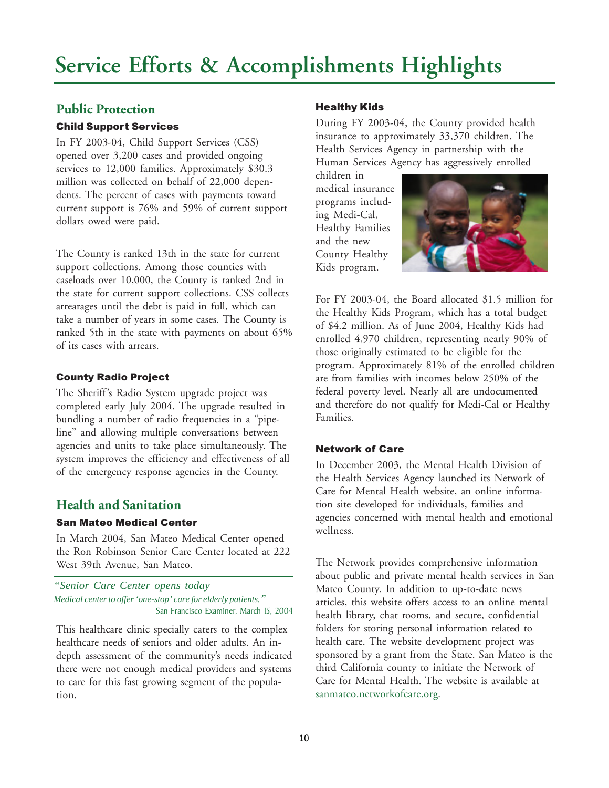## <span id="page-9-0"></span>**Public Protection**

## Child Support Services

In FY 2003-04, Child Support Services (CSS) opened over 3,200 cases and provided ongoing services to 12,000 families. Approximately \$30.3 million was collected on behalf of 22,000 dependents. The percent of cases with payments toward current support is 76% and 59% of current support dollars owed were paid.

The County is ranked 13th in the state for current support collections. Among those counties with caseloads over 10,000, the County is ranked 2nd in the state for current support collections. CSS collects arrearages until the debt is paid in full, which can take a number of years in some cases. The County is ranked 5th in the state with payments on about 65% of its cases with arrears.

## County Radio Project

The Sheriff's Radio System upgrade project was completed early July 2004. The upgrade resulted in bundling a number of radio frequencies in a "pipeline" and allowing multiple conversations between agencies and units to take place simultaneously. The system improves the efficiency and effectiveness of all of the emergency response agencies in the County.

## **Health and Sanitation**

## San Mateo Medical Center

In March 2004, San Mateo Medical Center opened the Ron Robinson Senior Care Center located at 222 West 39th Avenue, San Mateo.

*"Senior Care Center opens today Medical center to offer 'one-stop' care for elderly patients."* San Francisco Examiner, March 15, 2004

This healthcare clinic specially caters to the complex healthcare needs of seniors and older adults. An indepth assessment of the community's needs indicated there were not enough medical providers and systems to care for this fast growing segment of the population.

## Healthy Kids

During FY 2003-04, the County provided health insurance to approximately 33,370 children. The Health Services Agency in partnership with the Human Services Agency has aggressively enrolled

children in medical insurance programs including Medi-Cal, Healthy Families and the new County Healthy Kids program.



For FY 2003-04, the Board allocated \$1.5 million for the Healthy Kids Program, which has a total budget of \$4.2 million. As of June 2004, Healthy Kids had enrolled 4,970 children, representing nearly 90% of those originally estimated to be eligible for the program. Approximately 81% of the enrolled children are from families with incomes below 250% of the federal poverty level. Nearly all are undocumented and therefore do not qualify for Medi-Cal or Healthy Families.

## Network of Care

In December 2003, the Mental Health Division of the Health Services Agency launched its Network of Care for Mental Health website, an online information site developed for individuals, families and agencies concerned with mental health and emotional wellness.

The Network provides comprehensive information about public and private mental health services in San Mateo County. In addition to up-to-date news articles, this website offers access to an online mental health library, chat rooms, and secure, confidential folders for storing personal information related to health care. The website development project was sponsored by a grant from the State. San Mateo is the third California county to initiate the Network of Care for Mental Health. The website is available at [sanmateo.networkofcare.org.](http://sanmateo.networkofcare.org)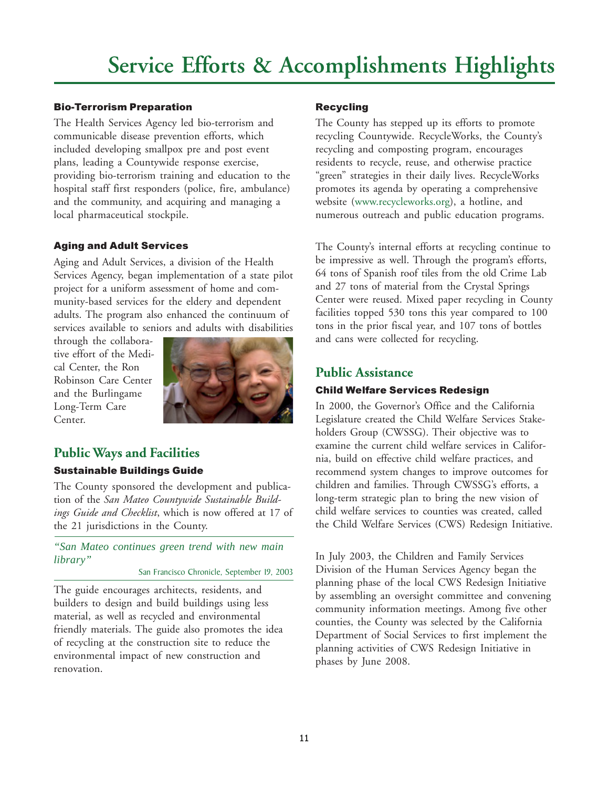### Bio-Terrorism Preparation

The Health Services Agency led bio-terrorism and communicable disease prevention efforts, which included developing smallpox pre and post event plans, leading a Countywide response exercise, providing bio-terrorism training and education to the hospital staff first responders (police, fire, ambulance) and the community, and acquiring and managing a local pharmaceutical stockpile.

## Aging and Adult Services

Aging and Adult Services, a division of the Health Services Agency, began implementation of a state pilot project for a uniform assessment of home and community-based services for the eldery and dependent adults. The program also enhanced the continuum of services available to seniors and adults with disabilities

through the collaborative effort of the Medical Center, the Ron Robinson Care Center and the Burlingame Long-Term Care Center.



## **Public Ways and Facilities**

## Sustainable Buildings Guide

The County sponsored the development and publication of the *San Mateo Countywide Sustainable Buildings Guide and Checklist*, which is now offered at 17 of the 21 jurisdictions in the County.

*"San Mateo continues green trend with new main library"*

San Francisco Chronicle, September 19, 2003

The guide encourages architects, residents, and builders to design and build buildings using less material, as well as recycled and environmental friendly materials. The guide also promotes the idea of recycling at the construction site to reduce the environmental impact of new construction and renovation.

## Recycling

The County has stepped up its efforts to promote recycling Countywide. RecycleWorks, the County's recycling and composting program, encourages residents to recycle, reuse, and otherwise practice "green" strategies in their daily lives. RecycleWorks promotes its agenda by operating a comprehensive website [\(www.recycleworks.org\),](http://www.recycleworks.org) a hotline, and numerous outreach and public education programs.

The County's internal efforts at recycling continue to be impressive as well. Through the program's efforts, 64 tons of Spanish roof tiles from the old Crime Lab and 27 tons of material from the Crystal Springs Center were reused. Mixed paper recycling in County facilities topped 530 tons this year compared to 100 tons in the prior fiscal year, and 107 tons of bottles and cans were collected for recycling.

## **Public Assistance**

## Child Welfare Services Redesign

In 2000, the Governor's Office and the California Legislature created the Child Welfare Services Stakeholders Group (CWSSG). Their objective was to examine the current child welfare services in California, build on effective child welfare practices, and recommend system changes to improve outcomes for children and families. Through CWSSG's efforts, a long-term strategic plan to bring the new vision of child welfare services to counties was created, called the Child Welfare Services (CWS) Redesign Initiative.

In July 2003, the Children and Family Services Division of the Human Services Agency began the planning phase of the local CWS Redesign Initiative by assembling an oversight committee and convening community information meetings. Among five other counties, the County was selected by the California Department of Social Services to first implement the planning activities of CWS Redesign Initiative in phases by June 2008.